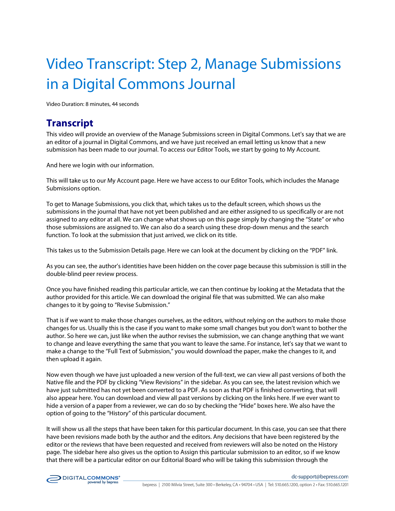## Video Transcript: Step 2, Manage Submissions in a Digital Commons Journal

Video Duration: 8 minutes, 44 seconds

## **Transcript**

This video will provide an overview of the Manage Submissions screen in Digital Commons. Let's say that we are an editor of a journal in Digital Commons, and we have just received an email letting us know that a new submission has been made to our journal. To access our Editor Tools, we start by going to My Account.

And here we login with our information.

This will take us to our My Account page. Here we have access to our Editor Tools, which includes the Manage Submissions option.

To get to Manage Submissions, you click that, which takes us to the default screen, which shows us the submissions in the journal that have not yet been published and are either assigned to us specifically or are not assigned to any editor at all. We can change what shows up on this page simply by changing the "State" or who those submissions are assigned to. We can also do a search using these drop-down menus and the search function. To look at the submission that just arrived, we click on its title.

This takes us to the Submission Details page. Here we can look at the document by clicking on the "PDF" link.

As you can see, the author's identities have been hidden on the cover page because this submission is still in the double-blind peer review process.

Once you have finished reading this particular article, we can then continue by looking at the Metadata that the author provided for this article. We can download the original file that was submitted. We can also make changes to it by going to "Revise Submission."

That is if we want to make those changes ourselves, as the editors, without relying on the authors to make those changes for us. Usually this is the case if you want to make some small changes but you don't want to bother the author. So here we can, just like when the author revises the submission, we can change anything that we want to change and leave everything the same that you want to leave the same. For instance, let's say that we want to make a change to the "Full Text of Submission," you would download the paper, make the changes to it, and then upload it again.

Now even though we have just uploaded a new version of the full-text, we can view all past versions of both the Native file and the PDF by clicking "View Revisions" in the sidebar. As you can see, the latest revision which we have just submitted has not yet been converted to a PDF. As soon as that PDF is finished converting, that will also appear here. You can download and view all past versions by clicking on the links here. If we ever want to hide a version of a paper from a reviewer, we can do so by checking the "Hide" boxes here. We also have the option of going to the "History" of this particular document.

It will show us all the steps that have been taken for this particular document. In this case, you can see that there have been revisions made both by the author and the editors. Any decisions that have been registered by the editor or the reviews that have been requested and received from reviewers will also be noted on the History page. The sidebar here also gives us the option to Assign this particular submission to an editor, so if we know that there will be a particular editor on our Editorial Board who will be taking this submission through the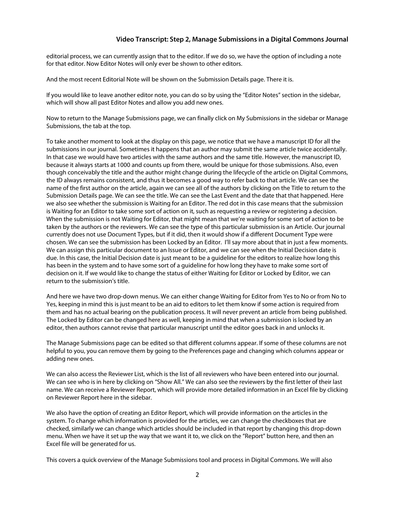## **Video Transcript: Step 2, Manage Submissions in a Digital Commons Journal**

editorial process, we can currently assign that to the editor. If we do so, we have the option of including a note for that editor. Now Editor Notes will only ever be shown to other editors.

And the most recent Editorial Note will be shown on the Submission Details page. There it is.

If you would like to leave another editor note, you can do so by using the "Editor Notes" section in the sidebar, which will show all past Editor Notes and allow you add new ones.

Now to return to the Manage Submissions page, we can finally click on My Submissions in the sidebar or Manage Submissions, the tab at the top.

To take another moment to look at the display on this page, we notice that we have a manuscript ID for all the submissions in our journal. Sometimes it happens that an author may submit the same article twice accidentally. In that case we would have two articles with the same authors and the same title. However, the manuscript ID, because it always starts at 1000 and counts up from there, would be unique for those submissions. Also, even though conceivably the title and the author might change during the lifecycle of the article on Digital Commons, the ID always remains consistent, and thus it becomes a good way to refer back to that article. We can see the name of the first author on the article, again we can see all of the authors by clicking on the Title to return to the Submission Details page. We can see the title. We can see the Last Event and the date that that happened. Here we also see whether the submission is Waiting for an Editor. The red dot in this case means that the submission is Waiting for an Editor to take some sort of action on it, such as requesting a review or registering a decision. When the submission is not Waiting for Editor, that might mean that we're waiting for some sort of action to be taken by the authors or the reviewers. We can see the type of this particular submission is an Article. Our journal currently does not use Document Types, but if it did, then it would show if a different Document Type were chosen. We can see the submission has been Locked by an Editor. I'll say more about that in just a few moments. We can assign this particular document to an Issue or Editor, and we can see when the Initial Decision date is due. In this case, the Initial Decision date is just meant to be a guideline for the editors to realize how long this has been in the system and to have some sort of a guideline for how long they have to make some sort of decision on it. If we would like to change the status of either Waiting for Editor or Locked by Editor, we can return to the submission's title.

And here we have two drop-down menus. We can either change Waiting for Editor from Yes to No or from No to Yes, keeping in mind this is just meant to be an aid to editors to let them know if some action is required from them and has no actual bearing on the publication process. It will never prevent an article from being published. The Locked by Editor can be changed here as well, keeping in mind that when a submission is locked by an editor, then authors cannot revise that particular manuscript until the editor goes back in and unlocks it.

The Manage Submissions page can be edited so that different columns appear. If some of these columns are not helpful to you, you can remove them by going to the Preferences page and changing which columns appear or adding new ones.

We can also access the Reviewer List, which is the list of all reviewers who have been entered into our journal. We can see who is in here by clicking on "Show All." We can also see the reviewers by the first letter of their last name. We can receive a Reviewer Report, which will provide more detailed information in an Excel file by clicking on Reviewer Report here in the sidebar.

We also have the option of creating an Editor Report, which will provide information on the articles in the system. To change which information is provided for the articles, we can change the checkboxes that are checked, similarly we can change which articles should be included in that report by changing this drop-down menu. When we have it set up the way that we want it to, we click on the "Report" button here, and then an Excel file will be generated for us.

This covers a quick overview of the Manage Submissions tool and process in Digital Commons. We will also